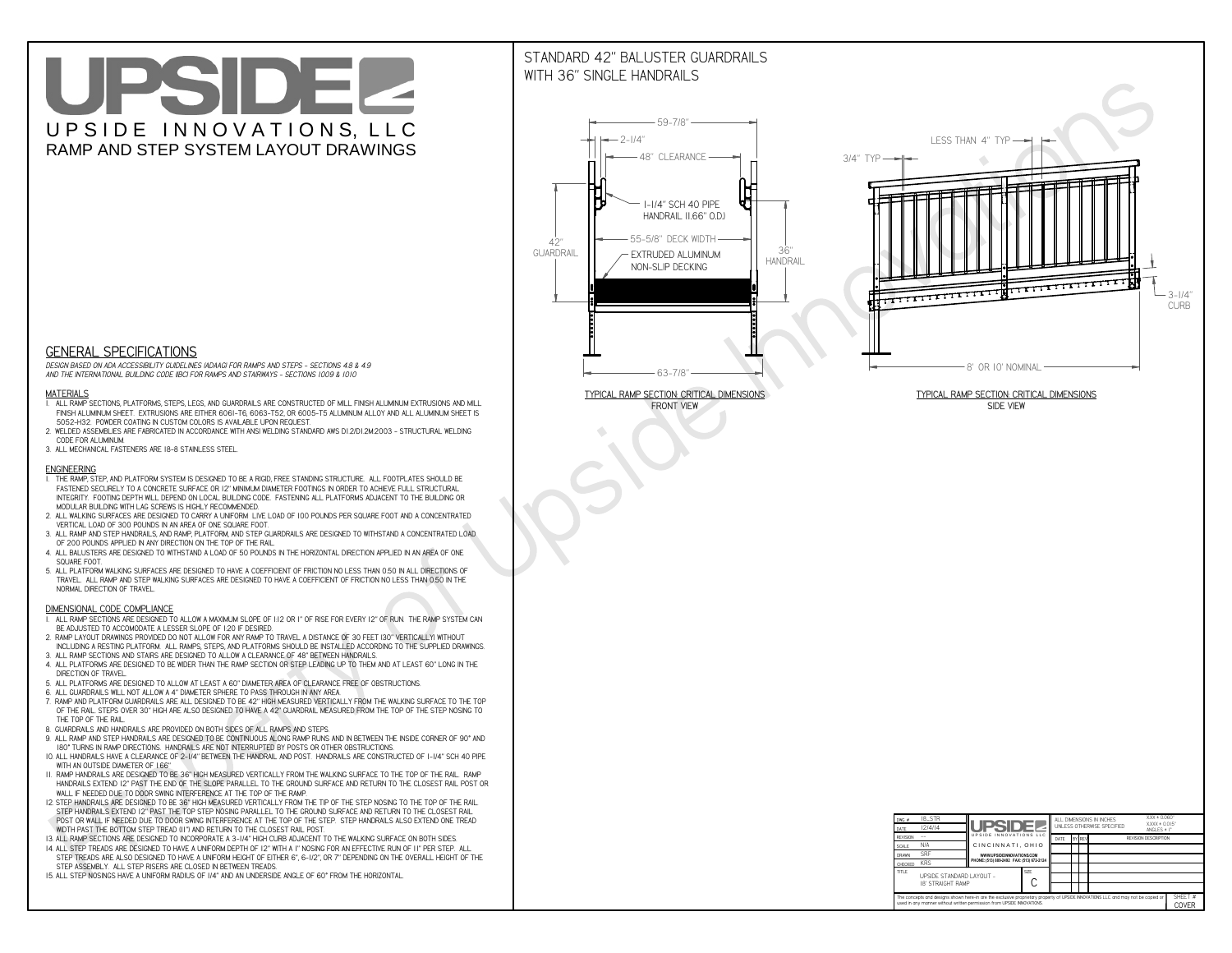# UPSIDEL UPSIDE INNOVATIONS, LLC RAMP AND STEP SYSTEM LAYOUT DRAWINGS

## STANDARD 42" BALUSTER GUARDRAILSWITH 36" SINGLE HANDRAILS

**FRONT VIEW**





**GENERAL SPECIFICATIONS**

 *DESIGN BASED ON ADA ACCESSIBILITY GUIDELINES (ADAAG) FOR RAMPS AND STEPS - SECTIONS 4.8 & 4.9AND THE INTERNATIONAL BUILDING CODE (IBC) FOR RAMPS AND STAIRWAYS - SECTIONS 1009 & 1010*

#### **MATERIALS**

- **1. ALL RAMP SECTIONS, PLATFORMS, STEPS, LEGS, AND GUARDRAILS ARE CONSTRUCTED OF MILL FINISH ALUMINUM EXTRUSIONS AND MILL FINISH ALUMINUM SHEET. EXTRUSIONS ARE EITHER 6061-T6, 6063-T52, OR 6005-T5 ALUMINUM ALLOY AND ALL ALUMINUM SHEET IS 5052-H32. POWDER COATING IN CUSTOM COLORS IS AVAILABLE UPON REQUEST.**
- **2. WELDED ASSEMBLIES ARE FABRICATED IN ACCORDANCE WITH ANSI WELDING STANDARD AWS D1.2/D1.2M:2003 STRUCTURAL WELDING CODE FOR ALUMINUM.**
- **3. ALL MECHANICAL FASTENERS ARE 18-8 STAINLESS STEEL.**

#### **ENGINEERING**

- **1. THE RAMP, STEP, AND PLATFORM SYSTEM IS DESIGNED TO BE A RIGID, FREE STANDING STRUCTURE. ALL FOOTPLATES SHOULD BE FASTENED SECURELY TO A CONCRETE SURFACE OR 12" MINIMUM DIAMETER FOOTINGS IN ORDER TO ACHIEVE FULL STRUCTURAL INTEGRITY. FOOTING DEPTH WILL DEPEND ON LOCAL BUILDING CODE. FASTENING ALL PLATFORMS ADJACENT TO THE BUILDING OR MODULAR BUILDING WITH LAG SCREWS IS HIGHLY RECOMMENDED.**
- **2. ALL WALKING SURFACES ARE DESIGNED TO CARRY A UNIFORM LIVE LOAD OF 100 POUNDS PER SQUARE FOOT AND A CONCENTRATED VERTICAL LOAD OF 300 POUNDS IN AN AREA OF ONE SQUARE FOOT.**
- **3. ALL RAMP AND STEP HANDRAILS, AND RAMP, PLATFORM, AND STEP GUARDRAILS ARE DESIGNED TO WITHSTAND A CONCENTRATED LOAD OF 200 POUNDS APPLIED IN ANY DIRECTION ON THE TOP OF THE RAIL.**
- **4. ALL BALUSTERS ARE DESIGNED TO WITHSTAND A LOAD OF 50 POUNDS IN THE HORIZONTAL DIRECTION APPLIED IN AN AREA OF ONE SQUARE FOOT.**
- **5. ALL PLATFORM WALKING SURFACES ARE DESIGNED TO HAVE A COEFFICIENT OF FRICTION NO LESS THAN 0.50 IN ALL DIRECTIONS OF TRAVEL. ALL RAMP AND STEP WALKING SURFACES ARE DESIGNED TO HAVE A COEFFICIENT OF FRICTION NO LESS THAN 0.50 IN THE NORMAL DIRECTION OF TRAVEL.**

| DWG.#<br>DATE                                                                                                                                                                                               | 18_STR<br>12/4/14                                    | <b>UPSIDEZ</b><br>UPSIDE INNOVATIONS LLC  |  | ALL DIMENSIONS IN INCHES<br>UNLESS OTHERWISE SPECIFIED |  |  |                             | XXX ± 0.060"<br>$XXX \pm 0.015$ "<br>ANGLES $\pm$ 1° |  |
|-------------------------------------------------------------------------------------------------------------------------------------------------------------------------------------------------------------|------------------------------------------------------|-------------------------------------------|--|--------------------------------------------------------|--|--|-----------------------------|------------------------------------------------------|--|
| <b>REVISION</b>                                                                                                                                                                                             |                                                      |                                           |  | BY REV<br>DATE                                         |  |  | <b>REVISION DESCRIPTION</b> |                                                      |  |
| <b>SCALE</b>                                                                                                                                                                                                | N/A                                                  | CINCINNATI, OHIO                          |  |                                                        |  |  |                             |                                                      |  |
| <b>DRAWN</b>                                                                                                                                                                                                | <b>SRF</b>                                           | WWW.UPSIDEINNOVATIONS.COM                 |  |                                                        |  |  |                             |                                                      |  |
| CHECKED                                                                                                                                                                                                     | <b>KRS</b>                                           | PHONE: (513) 889-2492 FAX: (513) 672-2124 |  |                                                        |  |  |                             |                                                      |  |
| <b>TITLE</b>                                                                                                                                                                                                | UPSIDE STANDARD LAYOUT -<br><b>18' STRAIGHT RAMP</b> |                                           |  |                                                        |  |  |                             |                                                      |  |
| The concepts and designs shown here-in are the exclusive proprietary property of UPSIDE INNOVATIONS LLC. and may not be copied or<br>used in any manner without written permission from UPSIDE INNOVATIONS. |                                                      |                                           |  |                                                        |  |  |                             | SHEET #<br><b>COVER</b>                              |  |

### **DIMENSIONAL CODE COMPLIANCE**

- **1. ALL RAMP SECTIONS ARE DESIGNED TO ALLOW A MAXIMUM SLOPE OF 1:12 OR 1" OF RISE FOR EVERY 12" OF RUN. THE RAMP SYSTEM CAN BE ADJUSTED TO ACCOMODATE A LESSER SLOPE OF 1:20 IF DESIRED.**
- **2. RAMP LAYOUT DRAWINGS PROVIDED DO NOT ALLOW FOR ANY RAMP TO TRAVEL A DISTANCE OF 30 FEET (30" VERTICALLY) WITHOUT INCLUDING A RESTING PLATFORM. ALL RAMPS, STEPS, AND PLATFORMS SHOULD BE INSTALLED ACCORDING TO THE SUPPLIED DRAWINGS.**
- **3. ALL RAMP SECTIONS AND STAIRS ARE DESIGNED TO ALLOW A CLEARANCE OF 48" BETWEEN HANDRAILS.**
- **4. ALL PLATFORMS ARE DESIGNED TO BE WIDER THAN THE RAMP SECTION OR STEP LEADING UP TO THEM AND AT LEAST 60" LONG IN THE DIRECTION OF TRAVEL.**
- **5. ALL PLATFORMS ARE DESIGNED TO ALLOW AT LEAST A 60" DIAMETER AREA OF CLEARANCE FREE OF OBSTRUCTIONS.**
- **6. ALL GUARDRAILS WILL NOT ALLOW A 4" DIAMETER SPHERE TO PASS THROUGH IN ANY AREA.**
- **7. RAMP AND PLATFORM GUARDRAILS ARE ALL DESIGNED TO BE 42" HIGH MEASURED VERTICALLY FROM THE WALKING SURFACE TO THE TOP OF THE RAIL. STEPS OVER 30" HIGH ARE ALSO DESIGNED TO HAVE A 42" GUARDRAIL MEASURED FROM THE TOP OF THE STEP NOSING TO THE TOP OF THE RAIL.**
- **8. GUARDRAILS AND HANDRAILS ARE PROVIDED ON BOTH SIDES OF ALL RAMPS AND STEPS.**
- **9. ALL RAMP AND STEP HANDRAILS ARE DESIGNED TO BE CONTINUOUS ALONG RAMP RUNS AND IN BETWEEN THE INSIDE CORNER OF 90° AND 180° TURNS IN RAMP DIRECTIONS. HANDRAILS ARE NOT INTERRUPTED BY POSTS OR OTHER OBSTRUCTIONS.**
- **10. ALL HANDRAILS HAVE A CLEARANCE OF 2-1/4" BETWEEN THE HANDRAIL AND POST. HANDRAILS ARE CONSTRUCTED OF 1-1/4" SCH 40 PIPE WITH AN OUTSIDE DIAMETER OF 1.66"**
- **11. RAMP HANDRAILS ARE DESIGNED TO BE 36" HIGH MEASURED VERTICALLY FROM THE WALKING SURFACE TO THE TOP OF THE RAIL. RAMP HANDRAILS EXTEND 12" PAST THE END OF THE SLOPE PARALLEL TO THE GROUND SURFACE AND RETURN TO THE CLOSEST RAIL POST OR WALL IF NEEDED DUE TO DOOR SWING INTERFERENCE AT THE TOP OF THE RAMP.**
- **12. STEP HANDRAILS ARE DESIGNED TO BE 36" HIGH MEASURED VERTICALLY FROM THE TIP OF THE STEP NOSING TO THE TOP OF THE RAIL. STEP HANDRAILS EXTEND 12" PAST THE TOP STEP NOSING PARALLEL TO THE GROUND SURFACE AND RETURN TO THE CLOSEST RAIL POST OR WALL IF NEEDED DUE TO DOOR SWING INTERFERENCE AT THE TOP OF THE STEP. STEP HANDRAILS ALSO EXTEND ONE TREAD**
- **WIDTH PAST THE BOTTOM STEP TREAD (11") AND RETURN TO THE CLOSEST RAIL POST.**
- **13. ALL RAMP SECTIONS ARE DESIGNED TO INCORPORATE A 3-1/4" HIGH CURB ADJACENT TO THE WALKING SURFACE ON BOTH SIDES.**
- **14. ALL STEP TREADS ARE DESIGNED TO HAVE A UNIFORM DEPTH OF 12" WITH A 1" NOSING FOR AN EFFECTIVE RUN OF 11" PER STEP. ALL STEP TREADS ARE ALSO DESIGNED TO HAVE A UNIFORM HEIGHT OF EITHER 6", 6-1/2", OR 7" DEPENDING ON THE OVERALL HEIGHT OF THE STEP ASSEMBLY. ALL STEP RISERS ARE CLOSED IN BETWEEN TREADS.**
- **15. ALL STEP NOSINGS HAVE A UNIFORM RADIUS OF 1/4" AND AN UNDERSIDE ANGLE OF 60° FROM THE HORIZONTAL.**